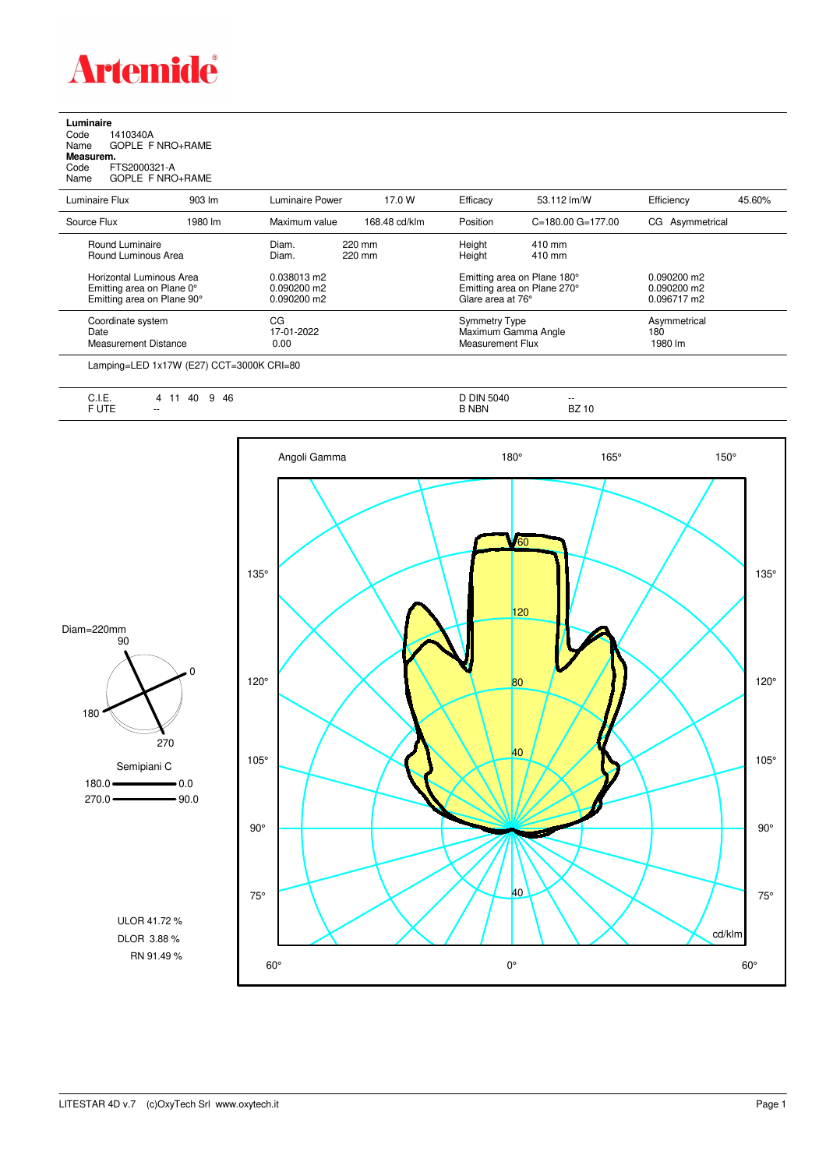

**Luminaire**<br>Code 1<br>Name ( Code 1410340A Name GOPLE F NRO+RAME **Measurem.**

Code FTS2000321-A Name GOPLE F NRO+RAME

| Luminaire Flux                                                                      | $903 \, \text{Im}$ | Luminaire Power                               | 17.0 W           | Efficacy                                 | 53.112 lm/W                                                | Efficiency                                    | 45.60% |
|-------------------------------------------------------------------------------------|--------------------|-----------------------------------------------|------------------|------------------------------------------|------------------------------------------------------------|-----------------------------------------------|--------|
| Source Flux                                                                         | 1980 lm            | Maximum value                                 | 168.48 cd/klm    | Position                                 | $C = 180.00$ $G = 177.00$                                  | CG Asymmetrical                               |        |
| Round Luminaire<br>Round Luminous Area                                              |                    | Diam.<br>Diam.                                | 220 mm<br>220 mm | Height<br>Height                         | 410 mm<br>410 mm                                           |                                               |        |
| Horizontal Luminous Area<br>Emitting area on Plane 0°<br>Emitting area on Plane 90° |                    | 0.038013 m2<br>$0.090200$ m2<br>$0.090200$ m2 |                  | Glare area at 76°                        | Emitting area on Plane 180°<br>Emitting area on Plane 270° | $0.090200$ m2<br>$0.090200$ m2<br>0.096717 m2 |        |
| Coordinate system<br>Date<br>Measurement Distance                                   |                    | CG<br>17-01-2022<br>0.00                      |                  | <b>Symmetry Type</b><br>Measurement Flux | Maximum Gamma Angle                                        | Asymmetrical<br>180<br>1980 lm                |        |

Lamping=LED 1x17W (E27) CCT=3000K CRI=80